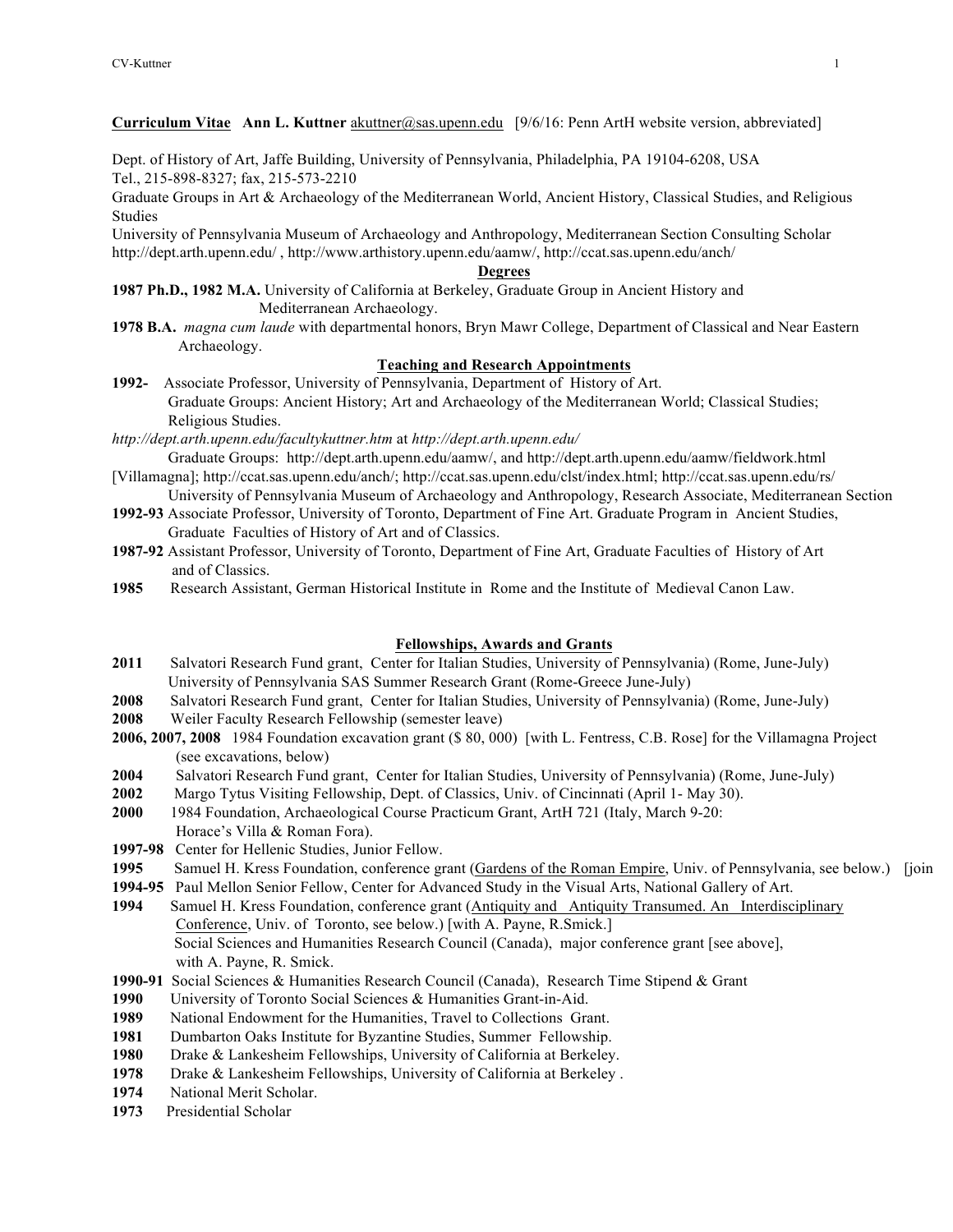**Curriculum Vitae Ann L. Kuttner** akuttner@sas.upenn.edu [9/6/16: Penn ArtH website version, abbreviated]

Dept. of History of Art, Jaffe Building, University of Pennsylvania, Philadelphia, PA 19104-6208, USA Tel., 215-898-8327; fax, 215-573-2210

Graduate Groups in Art & Archaeology of the Mediterranean World, Ancient History, Classical Studies, and Religious Studies

University of Pennsylvania Museum of Archaeology and Anthropology, Mediterranean Section Consulting Scholar http://dept.arth.upenn.edu/ , http://www.arthistory.upenn.edu/aamw/, http://ccat.sas.upenn.edu/anch/

## **Degrees**

**1987 Ph.D., 1982 M.A.** University of California at Berkeley, Graduate Group in Ancient History and Mediterranean Archaeology.

**1978 B.A.** *magna cum laude* with departmental honors, Bryn Mawr College, Department of Classical and Near Eastern Archaeology.

## **Teaching and Research Appointments**

**1992-** Associate Professor, University of Pennsylvania, Department of History of Art. Graduate Groups: Ancient History; Art and Archaeology of the Mediterranean World; Classical Studies; Religious Studies.

*http://dept.arth.upenn.edu/facultykuttner.htm* at *http://dept.arth.upenn.edu/*

- Graduate Groups: http://dept.arth.upenn.edu/aamw/, and http://dept.arth.upenn.edu/aamw/fieldwork.html [Villamagna]; http://ccat.sas.upenn.edu/anch/; http://ccat.sas.upenn.edu/clst/index.html; http://ccat.sas.upenn.edu/rs/
- University of Pennsylvania Museum of Archaeology and Anthropology, Research Associate, Mediterranean Section **1992-93** Associate Professor, University of Toronto, Department of Fine Art. Graduate Program in Ancient Studies,

Graduate Faculties of History of Art and of Classics.

- **1987-92** Assistant Professor, University of Toronto, Department of Fine Art, Graduate Faculties of History of Art and of Classics.
- **1985** Research Assistant, German Historical Institute in Rome and the Institute of Medieval Canon Law.

## **Fellowships, Awards and Grants**

- **2011** Salvatori Research Fund grant, Center for Italian Studies, University of Pennsylvania) (Rome, June-July) University of Pennsylvania SAS Summer Research Grant (Rome-Greece June-July)
- **2008** Salvatori Research Fund grant, Center for Italian Studies, University of Pennsylvania) (Rome, June-July)
- **2008** Weiler Faculty Research Fellowship (semester leave)
- **2006, 2007, 2008** 1984 Foundation excavation grant (\$ 80, 000) [with L. Fentress, C.B. Rose] for the Villamagna Project (see excavations, below)
- **2004** Salvatori Research Fund grant, Center for Italian Studies, University of Pennsylvania) (Rome, June-July)
- **2002** Margo Tytus Visiting Fellowship, Dept. of Classics, Univ. of Cincinnati (April 1- May 30).
- **2000** 1984 Foundation, Archaeological Course Practicum Grant, ArtH 721 (Italy, March 9-20:
- Horace's Villa & Roman Fora). **1997-98** Center for Hellenic Studies, Junior Fellow.
- 1995 Samuel H. Kress Foundation, conference grant (Gardens of the Roman Empire, Univ. of Pennsylvania, see below.) [join
- **1994-95** Paul Mellon Senior Fellow, Center for Advanced Study in the Visual Arts, National Gallery of Art.
- 1994 Samuel H. Kress Foundation, conference grant (Antiquity and Antiquity Transumed. An Interdisciplinary Conference, Univ. of Toronto, see below.) [with A. Payne, R.Smick.] Social Sciences and Humanities Research Council (Canada), major conference grant [see above], with A. Payne, R. Smick.
- **1990-91** Social Sciences & Humanities Research Council (Canada), Research Time Stipend & Grant
- **1990** University of Toronto Social Sciences & Humanities Grant-in-Aid.
- **1989** National Endowment for the Humanities, Travel to Collections Grant.
- **1981** Dumbarton Oaks Institute for Byzantine Studies, Summer Fellowship.
- **1980** Drake & Lankesheim Fellowships, University of California at Berkeley.
- **1978** Drake & Lankesheim Fellowships, University of California at Berkeley .
- **1974** National Merit Scholar.
- **1973** Presidential Scholar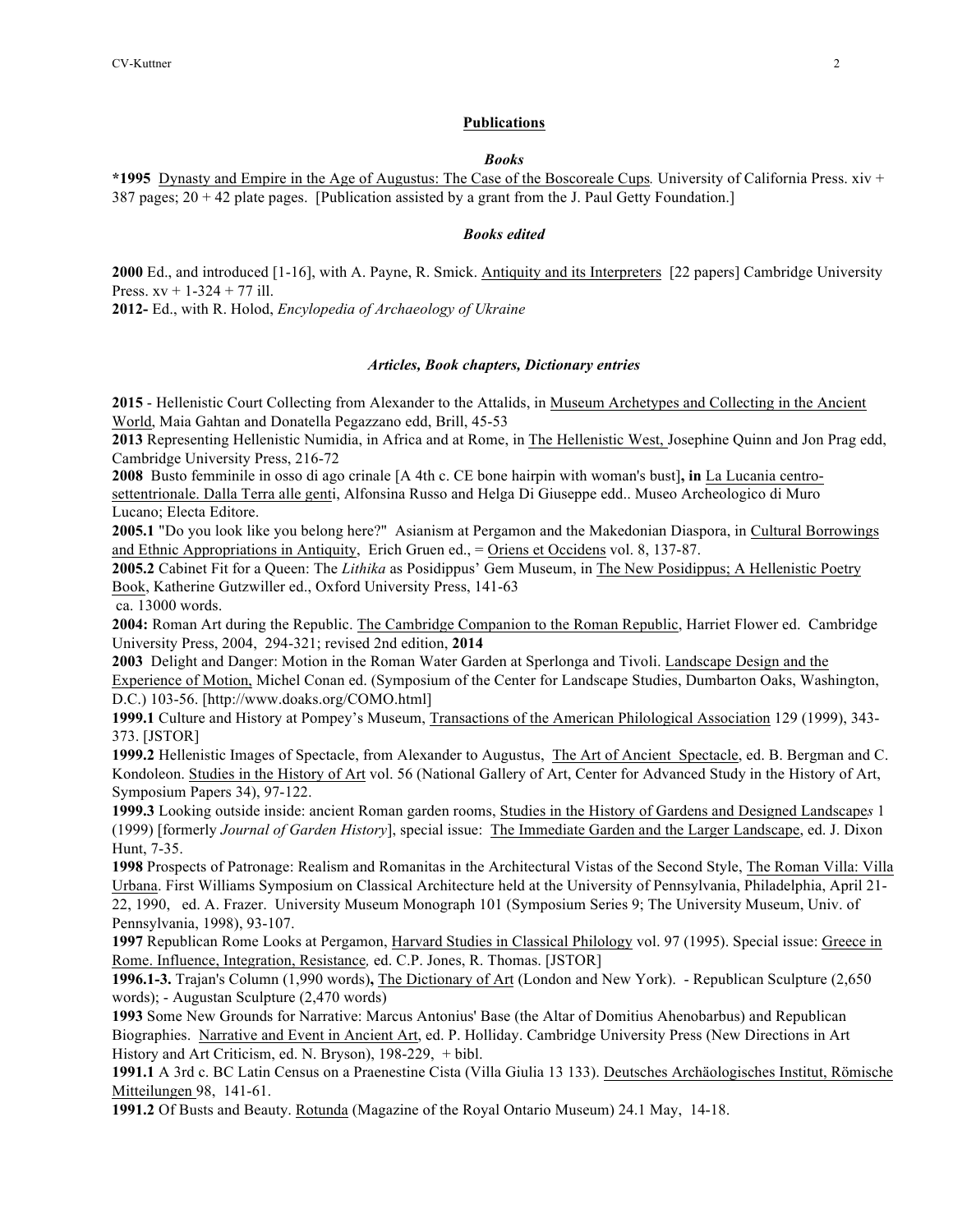#### **Publications**

#### *Books*

**\*1995** Dynasty and Empire in the Age of Augustus: The Case of the Boscoreale Cups*.* University of California Press. xiv + 387 pages; 20 + 42 plate pages. [Publication assisted by a grant from the J. Paul Getty Foundation.]

#### *Books edited*

**2000** Ed., and introduced [1-16], with A. Payne, R. Smick. Antiquity and its Interpreters [22 papers] Cambridge University Press.  $xy + 1-324 + 77$  ill.

**2012-** Ed., with R. Holod, *Encylopedia of Archaeology of Ukraine*

#### *Articles, Book chapters, Dictionary entries*

**2015** - Hellenistic Court Collecting from Alexander to the Attalids, in Museum Archetypes and Collecting in the Ancient World, Maia Gahtan and Donatella Pegazzano edd, Brill, 45-53

**2013** Representing Hellenistic Numidia, in Africa and at Rome, in The Hellenistic West, Josephine Quinn and Jon Prag edd, Cambridge University Press, 216-72

**2008** Busto femminile in osso di ago crinale [A 4th c. CE bone hairpin with woman's bust]**, in** La Lucania centrosettentrionale. Dalla Terra alle genti, Alfonsina Russo and Helga Di Giuseppe edd.. Museo Archeologico di Muro Lucano; Electa Editore.

**2005.1** "Do you look like you belong here?" Asianism at Pergamon and the Makedonian Diaspora, in Cultural Borrowings and Ethnic Appropriations in Antiquity, Erich Gruen ed., = Oriens et Occidens vol. 8, 137-87.

**2005.2** Cabinet Fit for a Queen: The *Lithika* as Posidippus' Gem Museum, in The New Posidippus; A Hellenistic Poetry Book, Katherine Gutzwiller ed., Oxford University Press, 141-63

ca. 13000 words.

**2004:** Roman Art during the Republic. The Cambridge Companion to the Roman Republic, Harriet Flower ed. Cambridge University Press, 2004, 294-321; revised 2nd edition, **2014**

**2003** Delight and Danger: Motion in the Roman Water Garden at Sperlonga and Tivoli. Landscape Design and the Experience of Motion, Michel Conan ed. (Symposium of the Center for Landscape Studies, Dumbarton Oaks, Washington, D.C.) 103-56. [http://www.doaks.org/COMO.html]

**1999.1** Culture and History at Pompey's Museum, Transactions of the American Philological Association 129 (1999), 343- 373. [JSTOR]

**1999.2** Hellenistic Images of Spectacle, from Alexander to Augustus, The Art of Ancient Spectacle, ed. B. Bergman and C. Kondoleon. Studies in the History of Art vol. 56 (National Gallery of Art, Center for Advanced Study in the History of Art, Symposium Papers 34), 97-122.

**1999.3** Looking outside inside: ancient Roman garden rooms, Studies in the History of Gardens and Designed Landscape*s* 1 (1999) [formerly *Journal of Garden History*], special issue: The Immediate Garden and the Larger Landscape, ed. J. Dixon Hunt, 7-35.

**1998** Prospects of Patronage: Realism and Romanitas in the Architectural Vistas of the Second Style, The Roman Villa: Villa Urbana. First Williams Symposium on Classical Architecture held at the University of Pennsylvania, Philadelphia, April 21- 22, 1990, ed. A. Frazer.University Museum Monograph 101 (Symposium Series 9; The University Museum, Univ. of Pennsylvania, 1998), 93-107.

**1997** Republican Rome Looks at Pergamon, Harvard Studies in Classical Philology vol. 97 (1995). Special issue: Greece in Rome. Influence, Integration, Resistance*,* ed. C.P. Jones, R. Thomas. [JSTOR]

**1996.1-3.** Trajan's Column (1,990 words)**,** The Dictionary of Art (London and New York). - Republican Sculpture (2,650 words); - Augustan Sculpture (2,470 words)

**1993** Some New Grounds for Narrative: Marcus Antonius' Base (the Altar of Domitius Ahenobarbus) and Republican Biographies. Narrative and Event in Ancient Art, ed. P. Holliday. Cambridge University Press (New Directions in Art History and Art Criticism, ed. N. Bryson), 198-229, + bibl.

**1991.1** A 3rd c. BC Latin Census on a Praenestine Cista (Villa Giulia 13 133). Deutsches Archäologisches Institut, Römische Mitteilungen 98, 141-61.

**1991.2** Of Busts and Beauty. Rotunda (Magazine of the Royal Ontario Museum) 24.1 May, 14-18.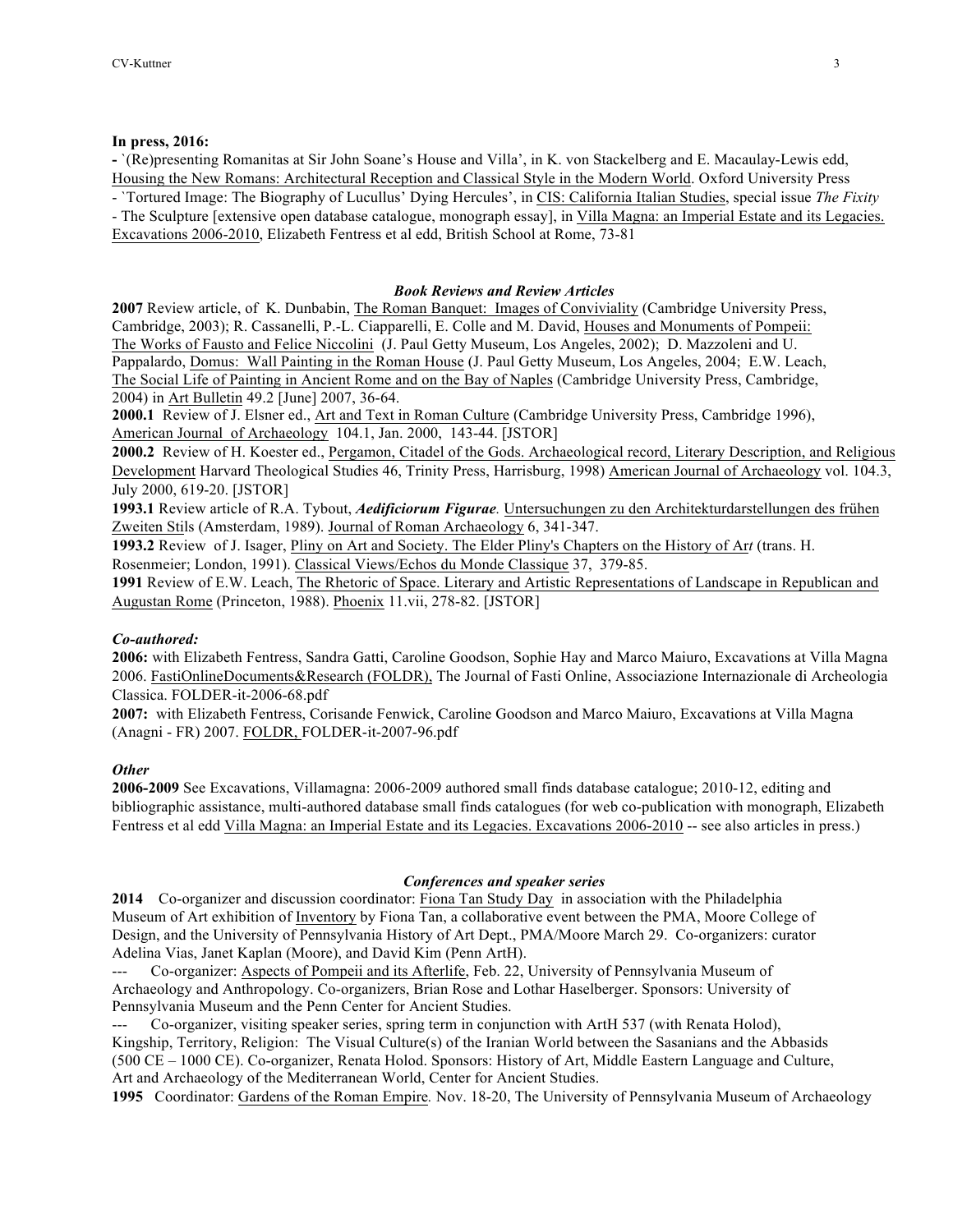## **In press, 2016:**

**-** `(Re)presenting Romanitas at Sir John Soane's House and Villa', in K. von Stackelberg and E. Macaulay-Lewis edd, Housing the New Romans: Architectural Reception and Classical Style in the Modern World. Oxford University Press - `Tortured Image: The Biography of Lucullus' Dying Hercules', in CIS: California Italian Studies, special issue *The Fixity* - The Sculpture [extensive open database catalogue, monograph essay], in Villa Magna: an Imperial Estate and its Legacies.

Excavations 2006-2010, Elizabeth Fentress et al edd, British School at Rome, 73-81

## *Book Reviews and Review Articles*

**2007** Review article, of K. Dunbabin, The Roman Banquet: Images of Conviviality (Cambridge University Press, Cambridge, 2003); R. Cassanelli, P.-L. Ciapparelli, E. Colle and M. David, Houses and Monuments of Pompeii: The Works of Fausto and Felice Niccolini (J. Paul Getty Museum, Los Angeles, 2002); D. Mazzoleni and U. Pappalardo, Domus: Wall Painting in the Roman House (J. Paul Getty Museum, Los Angeles, 2004; E.W. Leach, The Social Life of Painting in Ancient Rome and on the Bay of Naples (Cambridge University Press, Cambridge, 2004) in Art Bulletin 49.2 [June] 2007, 36-64.

**2000.1** Review of J. Elsner ed., Art and Text in Roman Culture (Cambridge University Press, Cambridge 1996), American Journal of Archaeology104.1, Jan. 2000, 143-44. [JSTOR]

**2000.2** Review of H. Koester ed., Pergamon, Citadel of the Gods. Archaeological record, Literary Description, and Religious Development Harvard Theological Studies 46, Trinity Press, Harrisburg, 1998) American Journal of Archaeology vol. 104.3, July 2000, 619-20. [JSTOR]

**1993.1** Review article of R.A. Tybout, *Aedificiorum Figurae.* Untersuchungen zu den Architekturdarstellungen des frühen Zweiten Stils (Amsterdam, 1989). Journal of Roman Archaeology 6, 341-347.

**1993.2** Review of J. Isager, Pliny on Art and Society. The Elder Pliny's Chapters on the History of Ar*t* (trans. H. Rosenmeier; London, 1991). Classical Views/Echos du Monde Classique 37, 379-85.

**1991** Review of E.W. Leach, The Rhetoric of Space. Literary and Artistic Representations of Landscape in Republican and Augustan Rome (Princeton, 1988). Phoenix 11.vii, 278-82. [JSTOR]

#### *Co-authored:*

**2006:** with Elizabeth Fentress, Sandra Gatti, Caroline Goodson, Sophie Hay and Marco Maiuro, Excavations at Villa Magna 2006. FastiOnlineDocuments&Research (FOLDR), The Journal of Fasti Online, Associazione Internazionale di Archeologia Classica. FOLDER-it-2006-68.pdf

**2007:** with Elizabeth Fentress, Corisande Fenwick, Caroline Goodson and Marco Maiuro, Excavations at Villa Magna (Anagni - FR) 2007. FOLDR, FOLDER-it-2007-96.pdf

# *Other*

**2006-2009** See Excavations, Villamagna: 2006-2009 authored small finds database catalogue; 2010-12, editing and bibliographic assistance, multi-authored database small finds catalogues (for web co-publication with monograph, Elizabeth Fentress et al edd Villa Magna: an Imperial Estate and its Legacies. Excavations 2006-2010 -- see also articles in press.)

# *Conferences and speaker series*

**2014** Co-organizer and discussion coordinator: Fiona Tan Study Day in association with the Philadelphia Museum of Art exhibition of Inventory by Fiona Tan, a collaborative event between the PMA, Moore College of Design, and the University of Pennsylvania History of Art Dept., PMA/Moore March 29. Co-organizers: curator Adelina Vias, Janet Kaplan (Moore), and David Kim (Penn ArtH).

Co-organizer: Aspects of Pompeii and its Afterlife, Feb. 22, University of Pennsylvania Museum of Archaeology and Anthropology. Co-organizers, Brian Rose and Lothar Haselberger. Sponsors: University of Pennsylvania Museum and the Penn Center for Ancient Studies.

Co-organizer, visiting speaker series, spring term in conjunction with ArtH 537 (with Renata Holod), Kingship, Territory, Religion: The Visual Culture(s) of the Iranian World between the Sasanians and the Abbasids (500 CE – 1000 CE). Co-organizer, Renata Holod. Sponsors: History of Art, Middle Eastern Language and Culture, Art and Archaeology of the Mediterranean World, Center for Ancient Studies.

**1995** Coordinator: Gardens of the Roman Empire*.* Nov. 18-20, The University of Pennsylvania Museum of Archaeology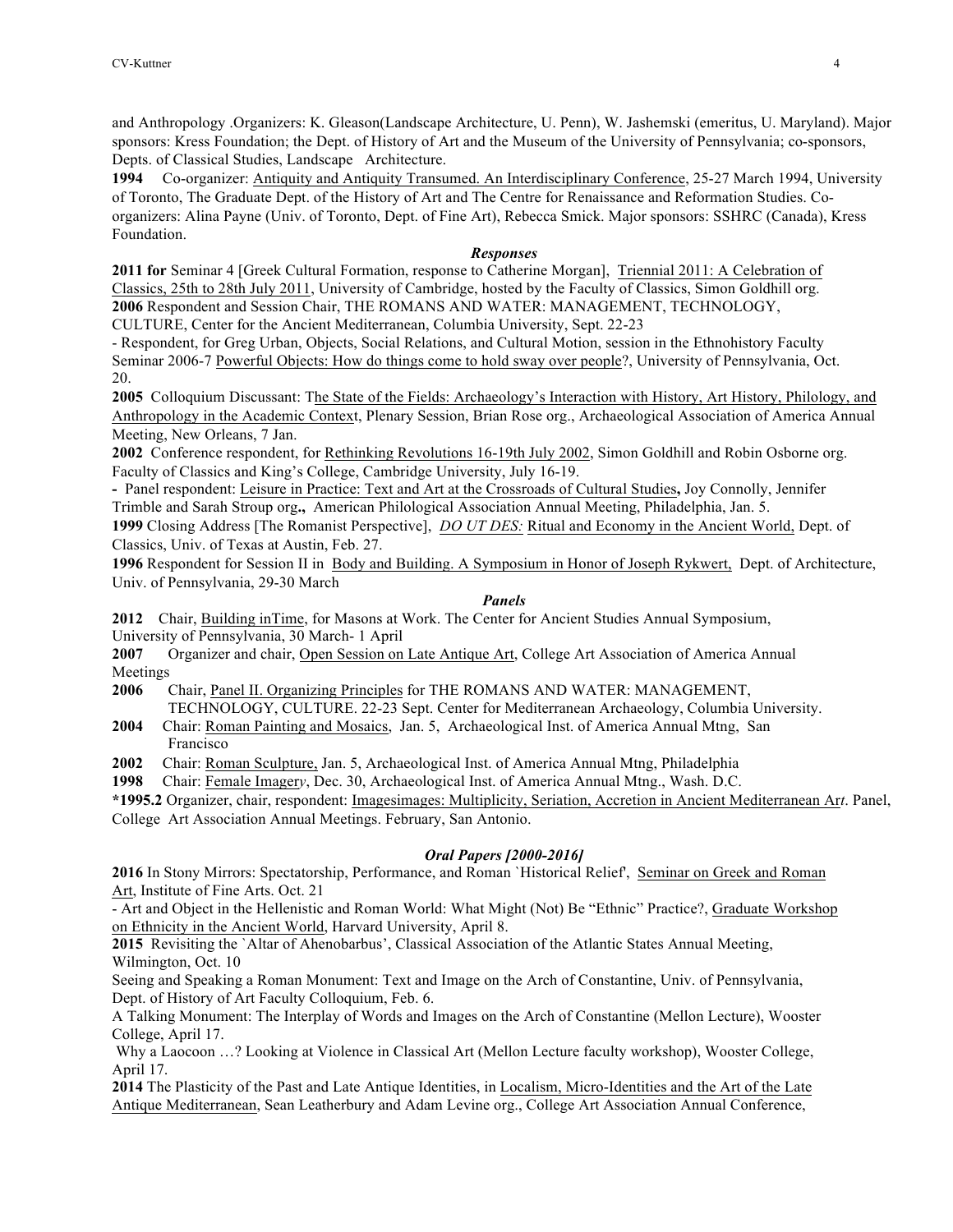and Anthropology .Organizers: K. Gleason(Landscape Architecture, U. Penn), W. Jashemski (emeritus, U. Maryland). Major sponsors: Kress Foundation; the Dept. of History of Art and the Museum of the University of Pennsylvania; co-sponsors, Depts. of Classical Studies, Landscape Architecture.

**1994** Co-organizer: Antiquity and Antiquity Transumed. An Interdisciplinary Conference, 25-27 March 1994, University of Toronto, The Graduate Dept. of the History of Art and The Centre for Renaissance and Reformation Studies. Coorganizers: Alina Payne (Univ. of Toronto, Dept. of Fine Art), Rebecca Smick. Major sponsors: SSHRC (Canada), Kress Foundation.

## *Responses*

**2011 for** Seminar 4 [Greek Cultural Formation, response to Catherine Morgan], Triennial 2011: A Celebration of Classics, 25th to 28th July 2011, University of Cambridge, hosted by the Faculty of Classics, Simon Goldhill org. **2006** Respondent and Session Chair, THE ROMANS AND WATER: MANAGEMENT, TECHNOLOGY,

CULTURE, Center for the Ancient Mediterranean, Columbia University, Sept. 22-23

- Respondent, for Greg Urban, Objects, Social Relations, and Cultural Motion, session in the Ethnohistory Faculty Seminar 2006-7 Powerful Objects: How do things come to hold sway over people?, University of Pennsylvania, Oct. 20.

**2005** Colloquium Discussant: The State of the Fields: Archaeology's Interaction with History, Art History, Philology, and Anthropology in the Academic Context, Plenary Session, Brian Rose org., Archaeological Association of America Annual Meeting, New Orleans, 7 Jan.

**2002** Conference respondent, for Rethinking Revolutions 16-19th July 2002, Simon Goldhill and Robin Osborne org. Faculty of Classics and King's College, Cambridge University, July 16-19.

**-** Panel respondent: Leisure in Practice: Text and Art at the Crossroads of Cultural Studies**,** Joy Connolly, Jennifer Trimble and Sarah Stroup org**.,** American Philological Association Annual Meeting, Philadelphia, Jan. 5.

**1999** Closing Address [The Romanist Perspective], *DO UT DES:* Ritual and Economy in the Ancient World, Dept. of Classics, Univ. of Texas at Austin, Feb. 27.

**1996** Respondent for Session II in Body and Building. A Symposium in Honor of Joseph Rykwert, Dept. of Architecture, Univ. of Pennsylvania, 29-30 March

# *Panels*

**2012** Chair, Building inTime, for Masons at Work. The Center for Ancient Studies Annual Symposium, University of Pennsylvania, 30 March- 1 April

**2007** Organizer and chair, Open Session on Late Antique Art, College Art Association of America Annual Meetings

**2006** Chair, Panel II. Organizing Principles for THE ROMANS AND WATER: MANAGEMENT, TECHNOLOGY, CULTURE. 22-23 Sept. Center for Mediterranean Archaeology, Columbia University.

**2004** Chair: Roman Painting and Mosaics, Jan. 5, Archaeological Inst. of America Annual Mtng, San Francisco

**2002** Chair: Roman Sculpture, Jan. 5, Archaeological Inst. of America Annual Mtng, Philadelphia

**1998** Chair: Female Imager*y*, Dec. 30, Archaeological Inst. of America Annual Mtng., Wash. D.C.

**\*1995.2** Organizer, chair, respondent: Imagesimages: Multiplicity, Seriation, Accretion in Ancient Mediterranean Ar*t*. Panel, College Art Association Annual Meetings. February, San Antonio.

# *Oral Papers [2000-2016]*

**2016** In Stony Mirrors: Spectatorship, Performance, and Roman `Historical Relief', Seminar on Greek and Roman Art, Institute of Fine Arts. Oct. 21

- Art and Object in the Hellenistic and Roman World: What Might (Not) Be "Ethnic" Practice?, Graduate Workshop on Ethnicity in the Ancient World, Harvard University, April 8.

**2015** Revisiting the `Altar of Ahenobarbus', Classical Association of the Atlantic States Annual Meeting, Wilmington, Oct. 10

Seeing and Speaking a Roman Monument: Text and Image on the Arch of Constantine, Univ. of Pennsylvania, Dept. of History of Art Faculty Colloquium, Feb. 6.

A Talking Monument: The Interplay of Words and Images on the Arch of Constantine (Mellon Lecture), Wooster College, April 17.

Why a Laocoon …? Looking at Violence in Classical Art (Mellon Lecture faculty workshop), Wooster College, April 17.

**2014** The Plasticity of the Past and Late Antique Identities, in Localism, Micro-Identities and the Art of the Late Antique Mediterranean, Sean Leatherbury and Adam Levine org., College Art Association Annual Conference,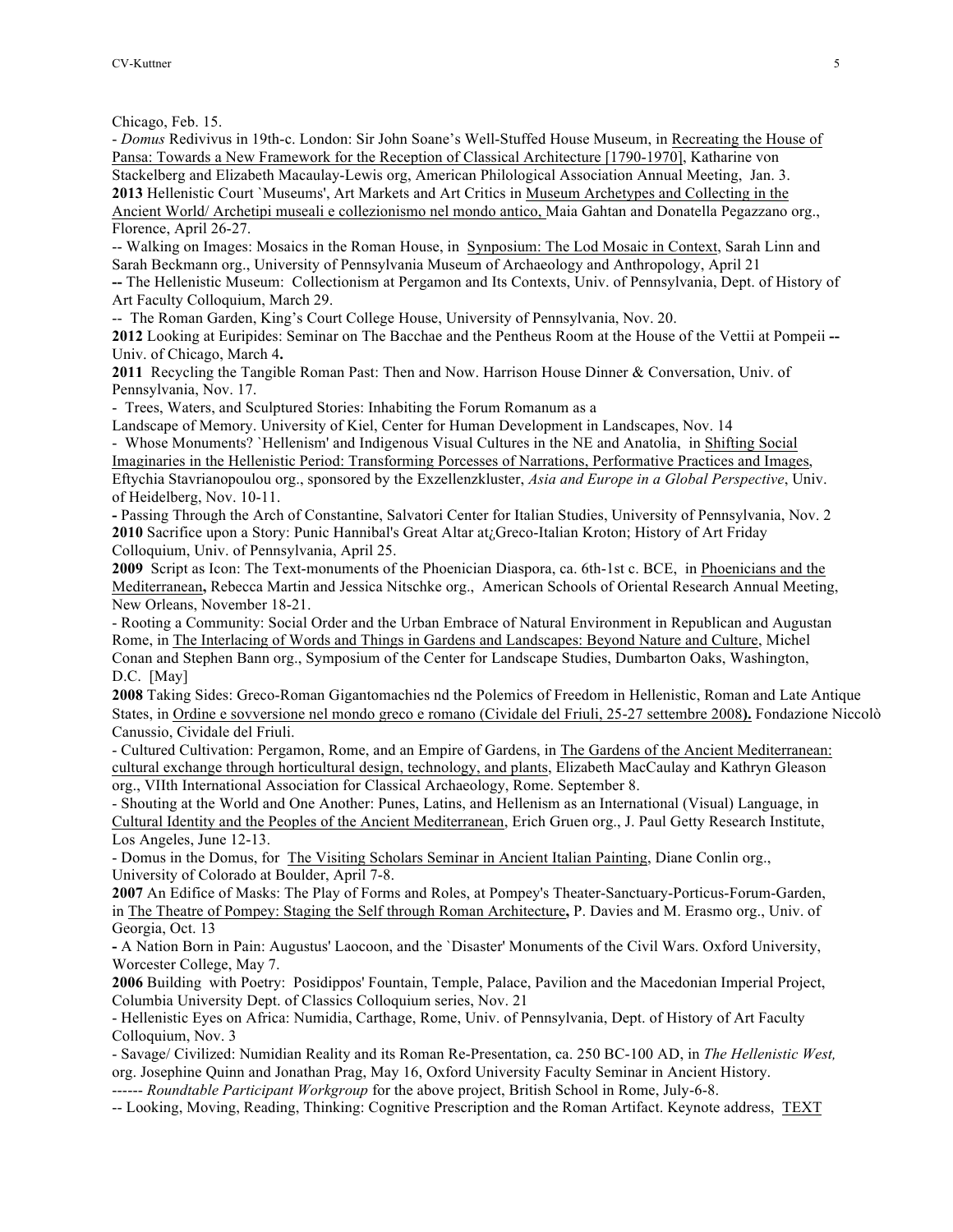Chicago, Feb. 15.

- *Domus* Redivivus in 19th-c. London: Sir John Soane's Well-Stuffed House Museum, in Recreating the House of Pansa: Towards a New Framework for the Reception of Classical Architecture [1790-1970], Katharine von Stackelberg and Elizabeth Macaulay-Lewis org, American Philological Association Annual Meeting, Jan. 3. **2013** Hellenistic Court `Museums', Art Markets and Art Critics in Museum Archetypes and Collecting in the Ancient World/ Archetipi museali e collezionismo nel mondo antico, Maia Gahtan and Donatella Pegazzano org., Florence, April 26-27.

-- Walking on Images: Mosaics in the Roman House, in Synposium: The Lod Mosaic in Context, Sarah Linn and Sarah Beckmann org., University of Pennsylvania Museum of Archaeology and Anthropology, April 21

**--** The Hellenistic Museum: Collectionism at Pergamon and Its Contexts, Univ. of Pennsylvania, Dept. of History of Art Faculty Colloquium, March 29.

-- The Roman Garden, King's Court College House, University of Pennsylvania, Nov. 20.

**2012** Looking at Euripides: Seminar on The Bacchae and the Pentheus Room at the House of the Vettii at Pompeii **--** Univ. of Chicago, March 4**.**

**2011** Recycling the Tangible Roman Past: Then and Now. Harrison House Dinner & Conversation, Univ. of Pennsylvania, Nov. 17.

- Trees, Waters, and Sculptured Stories: Inhabiting the Forum Romanum as a

Landscape of Memory. University of Kiel, Center for Human Development in Landscapes, Nov. 14

- Whose Monuments? `Hellenism' and Indigenous Visual Cultures in the NE and Anatolia, in Shifting Social Imaginaries in the Hellenistic Period: Transforming Porcesses of Narrations, Performative Practices and Images, Eftychia Stavrianopoulou org., sponsored by the Exzellenzkluster, *Asia and Europe in a Global Perspective*, Univ. of Heidelberg, Nov. 10-11.

**-** Passing Through the Arch of Constantine, Salvatori Center for Italian Studies, University of Pennsylvania, Nov. 2 **2010** Sacrifice upon a Story: Punic Hannibal's Great Altar at¿Greco-Italian Kroton; History of Art Friday Colloquium, Univ. of Pennsylvania, April 25.

**2009** Script as Icon: The Text-monuments of the Phoenician Diaspora, ca. 6th-1st c. BCE, in Phoenicians and the Mediterranean**,** Rebecca Martin and Jessica Nitschke org., American Schools of Oriental Research Annual Meeting, New Orleans, November 18-21.

- Rooting a Community: Social Order and the Urban Embrace of Natural Environment in Republican and Augustan Rome, in The Interlacing of Words and Things in Gardens and Landscapes: Beyond Nature and Culture, Michel Conan and Stephen Bann org., Symposium of the Center for Landscape Studies, Dumbarton Oaks, Washington, D.C. [May]

**2008** Taking Sides: Greco-Roman Gigantomachies nd the Polemics of Freedom in Hellenistic, Roman and Late Antique States, in Ordine e sovversione nel mondo greco e romano (Cividale del Friuli, 25-27 settembre 2008**).** Fondazione Niccolò Canussio, Cividale del Friuli.

- Cultured Cultivation: Pergamon, Rome, and an Empire of Gardens, in The Gardens of the Ancient Mediterranean: cultural exchange through horticultural design, technology, and plants, Elizabeth MacCaulay and Kathryn Gleason org., VIIth International Association for Classical Archaeology, Rome. September 8.

- Shouting at the World and One Another: Punes, Latins, and Hellenism as an International (Visual) Language, in Cultural Identity and the Peoples of the Ancient Mediterranean, Erich Gruen org., J. Paul Getty Research Institute, Los Angeles, June 12-13.

- Domus in the Domus, for The Visiting Scholars Seminar in Ancient Italian Painting, Diane Conlin org., University of Colorado at Boulder, April 7-8.

**2007** An Edifice of Masks: The Play of Forms and Roles, at Pompey's Theater-Sanctuary-Porticus-Forum-Garden, in The Theatre of Pompey: Staging the Self through Roman Architecture**,** P. Davies and M. Erasmo org., Univ. of Georgia, Oct. 13

**-** A Nation Born in Pain: Augustus' Laocoon, and the `Disaster' Monuments of the Civil Wars. Oxford University, Worcester College, May 7.

**2006** Building with Poetry: Posidippos' Fountain, Temple, Palace, Pavilion and the Macedonian Imperial Project, Columbia University Dept. of Classics Colloquium series, Nov. 21

- Hellenistic Eyes on Africa: Numidia, Carthage, Rome, Univ. of Pennsylvania, Dept. of History of Art Faculty Colloquium, Nov. 3

- Savage/ Civilized: Numidian Reality and its Roman Re-Presentation, ca. 250 BC-100 AD, in *The Hellenistic West,* org. Josephine Quinn and Jonathan Prag, May 16, Oxford University Faculty Seminar in Ancient History.

------ *Roundtable Participant Workgroup* for the above project, British School in Rome, July-6-8.

-- Looking, Moving, Reading, Thinking: Cognitive Prescription and the Roman Artifact. Keynote address, TEXT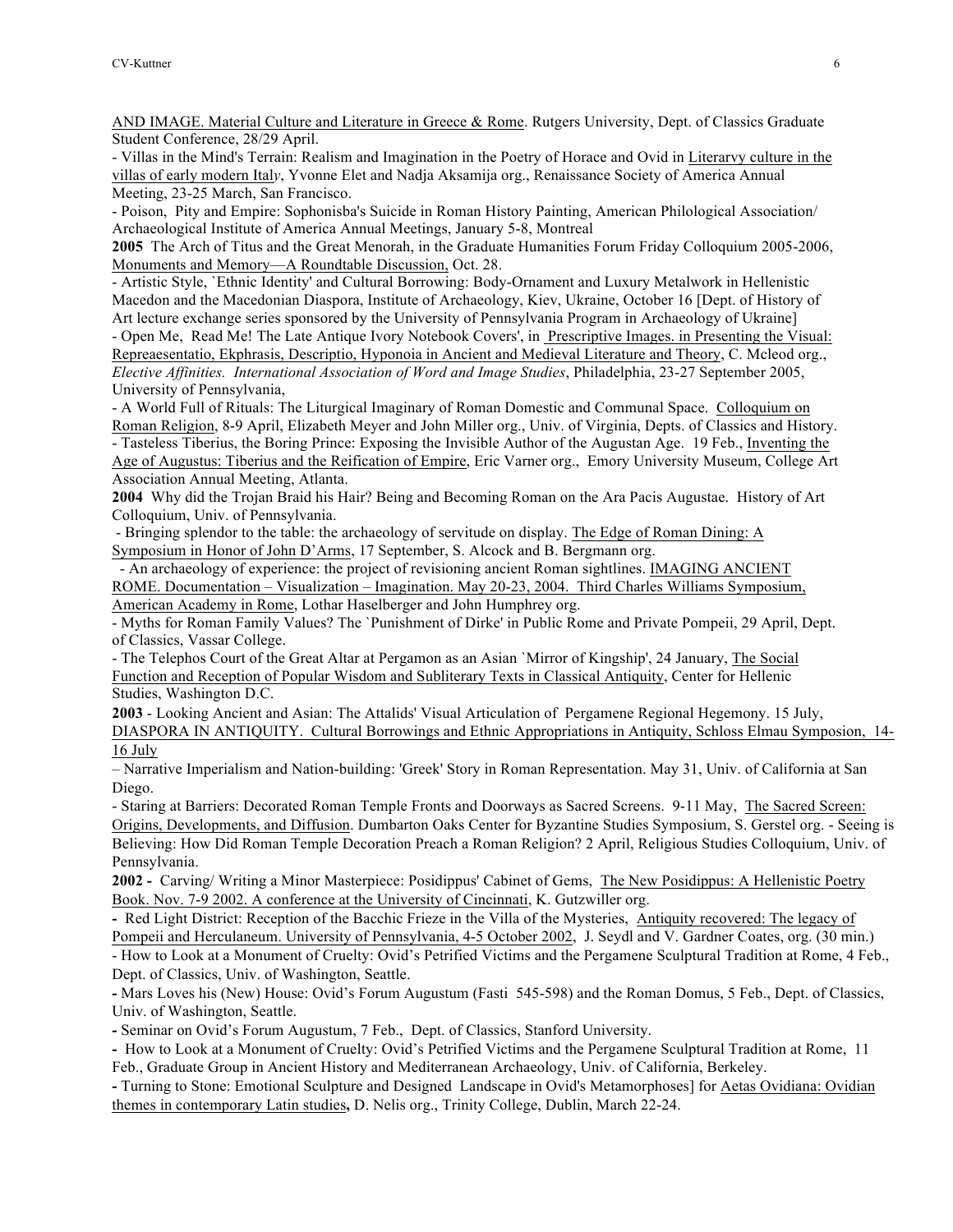AND IMAGE. Material Culture and Literature in Greece & Rome. Rutgers University, Dept. of Classics Graduate Student Conference, 28/29 April.

- Villas in the Mind's Terrain: Realism and Imagination in the Poetry of Horace and Ovid in Literarvy culture in the villas of early modern Ital*y*, Yvonne Elet and Nadja Aksamija org., Renaissance Society of America Annual Meeting, 23-25 March, San Francisco.

- Poison, Pity and Empire: Sophonisba's Suicide in Roman History Painting, American Philological Association/ Archaeological Institute of America Annual Meetings, January 5-8, Montreal

**2005** The Arch of Titus and the Great Menorah, in the Graduate Humanities Forum Friday Colloquium 2005-2006, Monuments and Memory—A Roundtable Discussion, Oct. 28.

- Artistic Style, `Ethnic Identity' and Cultural Borrowing: Body-Ornament and Luxury Metalwork in Hellenistic Macedon and the Macedonian Diaspora, Institute of Archaeology, Kiev, Ukraine, October 16 [Dept. of History of

Art lecture exchange series sponsored by the University of Pennsylvania Program in Archaeology of Ukraine] - Open Me, Read Me! The Late Antique Ivory Notebook Covers', in Prescriptive Images. in Presenting the Visual: Repreaesentatio, Ekphrasis, Descriptio, Hyponoia in Ancient and Medieval Literature and Theory, C. Mcleod org., *Elective Affinities. International Association of Word and Image Studies*, Philadelphia, 23-27 September 2005, University of Pennsylvania,

- A World Full of Rituals: The Liturgical Imaginary of Roman Domestic and Communal Space. Colloquium on Roman Religion, 8-9 April, Elizabeth Meyer and John Miller org., Univ. of Virginia, Depts. of Classics and History. - Tasteless Tiberius, the Boring Prince: Exposing the Invisible Author of the Augustan Age. 19 Feb., Inventing the Age of Augustus: Tiberius and the Reification of Empire, Eric Varner org., Emory University Museum, College Art Association Annual Meeting, Atlanta.

**2004** Why did the Trojan Braid his Hair? Being and Becoming Roman on the Ara Pacis Augustae. History of Art Colloquium, Univ. of Pennsylvania.

- Bringing splendor to the table: the archaeology of servitude on display. The Edge of Roman Dining: A Symposium in Honor of John D'Arms, 17 September, S. Alcock and B. Bergmann org.

 - An archaeology of experience: the project of revisioning ancient Roman sightlines. IMAGING ANCIENT ROME. Documentation – Visualization – Imagination. May 20-23, 2004. Third Charles Williams Symposium, American Academy in Rome, Lothar Haselberger and John Humphrey org.

- Myths for Roman Family Values? The `Punishment of Dirke' in Public Rome and Private Pompeii, 29 April, Dept. of Classics, Vassar College.

- The Telephos Court of the Great Altar at Pergamon as an Asian `Mirror of Kingship', 24 January, The Social Function and Reception of Popular Wisdom and Subliterary Texts in Classical Antiquity, Center for Hellenic Studies, Washington D.C.

**2003** - Looking Ancient and Asian: The Attalids' Visual Articulation of Pergamene Regional Hegemony. 15 July, DIASPORA IN ANTIQUITY. Cultural Borrowings and Ethnic Appropriations in Antiquity, Schloss Elmau Symposion, 14- 16 July

– Narrative Imperialism and Nation-building: 'Greek' Story in Roman Representation. May 31, Univ. of California at San Diego.

- Staring at Barriers: Decorated Roman Temple Fronts and Doorways as Sacred Screens. 9-11 May, The Sacred Screen: Origins, Developments, and Diffusion. Dumbarton Oaks Center for Byzantine Studies Symposium, S. Gerstel org. - Seeing is Believing: How Did Roman Temple Decoration Preach a Roman Religion? 2 April, Religious Studies Colloquium, Univ. of Pennsylvania.

**2002 -** Carving/ Writing a Minor Masterpiece: Posidippus' Cabinet of Gems, The New Posidippus: A Hellenistic Poetry Book. Nov. 7-9 2002. A conference at the University of Cincinnati, K. Gutzwiller org.

**-** Red Light District: Reception of the Bacchic Frieze in the Villa of the Mysteries, Antiquity recovered: The legacy of Pompeii and Herculaneum. University of Pennsylvania, 4-5 October 2002, J. Seydl and V. Gardner Coates, org. (30 min.)

- How to Look at a Monument of Cruelty: Ovid's Petrified Victims and the Pergamene Sculptural Tradition at Rome, 4 Feb., Dept. of Classics, Univ. of Washington, Seattle.

**-** Mars Loves his (New) House: Ovid's Forum Augustum (Fasti 545-598) and the Roman Domus, 5 Feb., Dept. of Classics, Univ. of Washington, Seattle.

**-** Seminar on Ovid's Forum Augustum, 7 Feb., Dept. of Classics, Stanford University.

**-** How to Look at a Monument of Cruelty: Ovid's Petrified Victims and the Pergamene Sculptural Tradition at Rome, 11 Feb., Graduate Group in Ancient History and Mediterranean Archaeology, Univ. of California, Berkeley.

**-** Turning to Stone: Emotional Sculpture and Designed Landscape in Ovid's Metamorphoses] for Aetas Ovidiana: Ovidian themes in contemporary Latin studies**,** D. Nelis org., Trinity College, Dublin, March 22-24.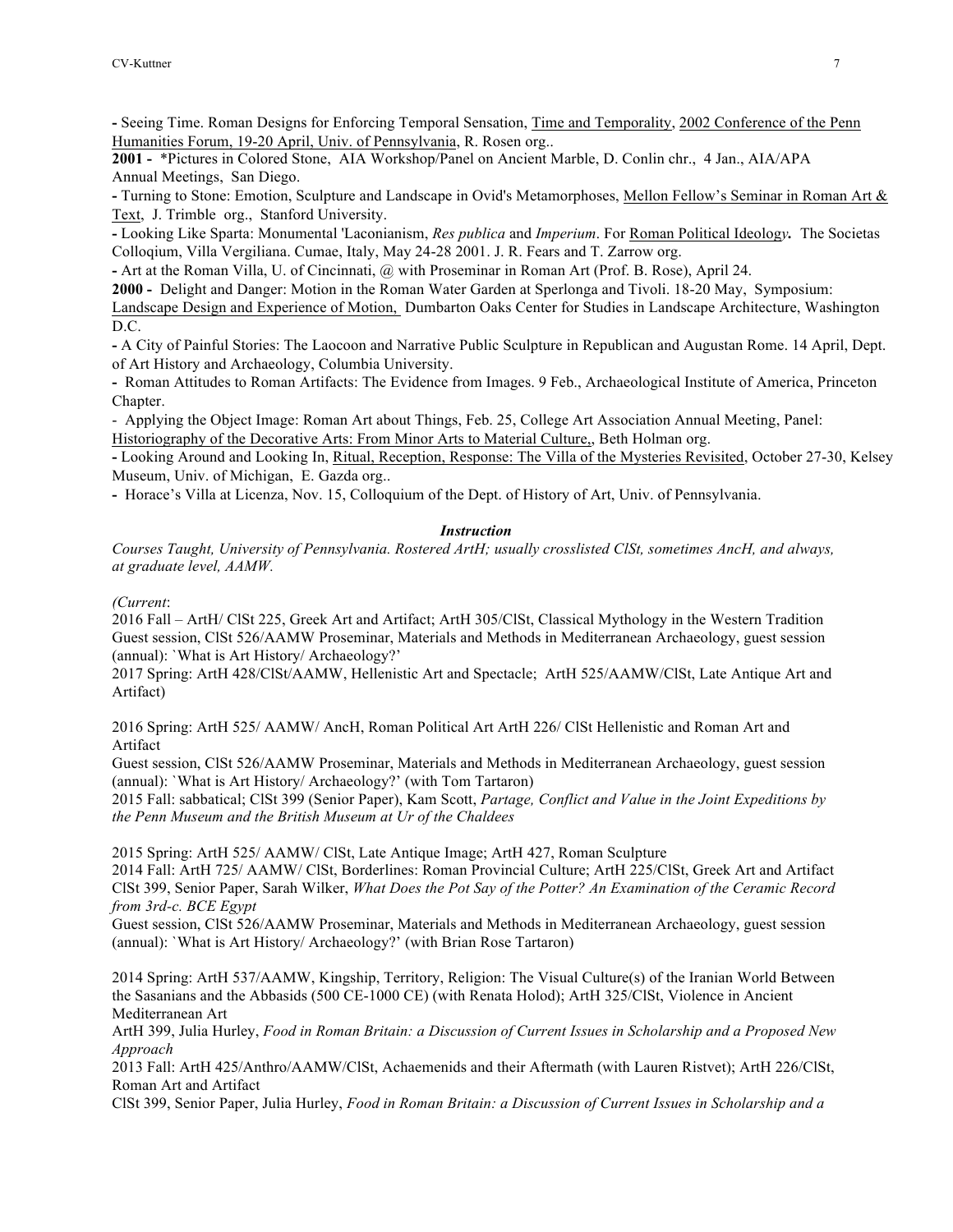**-** Seeing Time. Roman Designs for Enforcing Temporal Sensation, Time and Temporality, 2002 Conference of the Penn Humanities Forum, 19-20 April, Univ. of Pennsylvania, R. Rosen org..

**2001 -** \*Pictures in Colored Stone, AIA Workshop/Panel on Ancient Marble, D. Conlin chr., 4 Jan., AIA/APA Annual Meetings, San Diego.

**-** Turning to Stone: Emotion, Sculpture and Landscape in Ovid's Metamorphoses, Mellon Fellow's Seminar in Roman Art & Text, J. Trimble org., Stanford University.

**-** Looking Like Sparta: Monumental 'Laconianism, *Res publica* and *Imperium*. For Roman Political Ideolog*y.* The Societas Colloqium, Villa Vergiliana. Cumae, Italy, May 24-28 2001. J. R. Fears and T. Zarrow org.

**-** Art at the Roman Villa, U. of Cincinnati, @ with Proseminar in Roman Art (Prof. B. Rose), April 24.

**2000 -** Delight and Danger: Motion in the Roman Water Garden at Sperlonga and Tivoli. 18-20 May, Symposium:

Landscape Design and Experience of Motion, Dumbarton Oaks Center for Studies in Landscape Architecture, Washington D.C.

**-** A City of Painful Stories: The Laocoon and Narrative Public Sculpture in Republican and Augustan Rome. 14 April, Dept. of Art History and Archaeology, Columbia University.

**-** Roman Attitudes to Roman Artifacts: The Evidence from Images. 9 Feb., Archaeological Institute of America, Princeton Chapter.

- Applying the Object Image: Roman Art about Things, Feb. 25, College Art Association Annual Meeting, Panel: Historiography of the Decorative Arts: From Minor Arts to Material Culture,, Beth Holman org.

**-** Looking Around and Looking In, Ritual, Reception, Response: The Villa of the Mysteries Revisited, October 27-30, Kelsey Museum, Univ. of Michigan, E. Gazda org..

**-** Horace's Villa at Licenza, Nov. 15, Colloquium of the Dept. of History of Art, Univ. of Pennsylvania.

# *Instruction*

*Courses Taught, University of Pennsylvania. Rostered ArtH; usually crosslisted ClSt, sometimes AncH, and always, at graduate level, AAMW.*

*(Current*:

2016 Fall – ArtH/ ClSt 225, Greek Art and Artifact; ArtH 305/ClSt, Classical Mythology in the Western Tradition Guest session, ClSt 526/AAMW Proseminar, Materials and Methods in Mediterranean Archaeology, guest session (annual): `What is Art History/ Archaeology?'

2017 Spring: ArtH 428/ClSt/AAMW, Hellenistic Art and Spectacle; ArtH 525/AAMW/ClSt, Late Antique Art and Artifact)

2016 Spring: ArtH 525/ AAMW/ AncH, Roman Political Art ArtH 226/ ClSt Hellenistic and Roman Art and Artifact

Guest session, ClSt 526/AAMW Proseminar, Materials and Methods in Mediterranean Archaeology, guest session (annual): `What is Art History/ Archaeology?' (with Tom Tartaron)

2015 Fall: sabbatical; ClSt 399 (Senior Paper), Kam Scott, *Partage, Conflict and Value in the Joint Expeditions by the Penn Museum and the British Museum at Ur of the Chaldees*

2015 Spring: ArtH 525/ AAMW/ ClSt, Late Antique Image; ArtH 427, Roman Sculpture

2014 Fall: ArtH 725/ AAMW/ ClSt, Borderlines: Roman Provincial Culture; ArtH 225/ClSt, Greek Art and Artifact ClSt 399, Senior Paper, Sarah Wilker, *What Does the Pot Say of the Potter? An Examination of the Ceramic Record from 3rd-c. BCE Egypt*

Guest session, ClSt 526/AAMW Proseminar, Materials and Methods in Mediterranean Archaeology, guest session (annual): `What is Art History/ Archaeology?' (with Brian Rose Tartaron)

2014 Spring: ArtH 537/AAMW, Kingship, Territory, Religion: The Visual Culture(s) of the Iranian World Between the Sasanians and the Abbasids (500 CE-1000 CE) (with Renata Holod); ArtH 325/ClSt, Violence in Ancient Mediterranean Art

ArtH 399, Julia Hurley, *Food in Roman Britain: a Discussion of Current Issues in Scholarship and a Proposed New Approach*

2013 Fall: ArtH 425/Anthro/AAMW/ClSt, Achaemenids and their Aftermath (with Lauren Ristvet); ArtH 226/ClSt, Roman Art and Artifact

ClSt 399, Senior Paper, Julia Hurley, *Food in Roman Britain: a Discussion of Current Issues in Scholarship and a*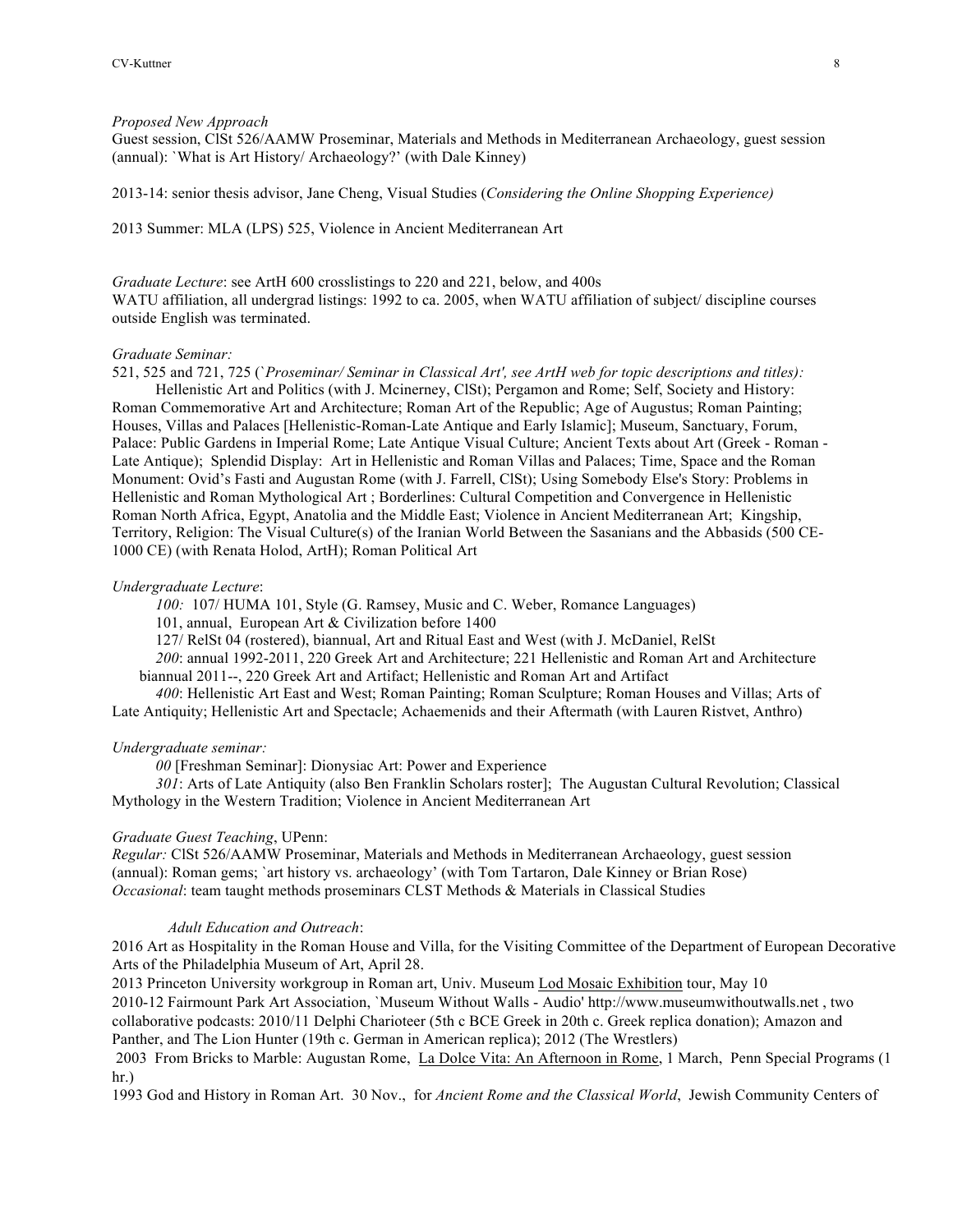#### *Proposed New Approach*

Guest session, ClSt 526/AAMW Proseminar, Materials and Methods in Mediterranean Archaeology, guest session (annual): `What is Art History/ Archaeology?' (with Dale Kinney)

2013-14: senior thesis advisor, Jane Cheng, Visual Studies (*Considering the Online Shopping Experience)*

2013 Summer: MLA (LPS) 525, Violence in Ancient Mediterranean Art

*Graduate Lecture*: see ArtH 600 crosslistings to 220 and 221, below, and 400s WATU affiliation, all undergrad listings: 1992 to ca. 2005, when WATU affiliation of subject/ discipline courses outside English was terminated.

## *Graduate Seminar:*

521, 525 and 721, 725 (`*Proseminar/ Seminar in Classical Art', see ArtH web for topic descriptions and titles):*

Hellenistic Art and Politics (with J. Mcinerney, ClSt); Pergamon and Rome; Self, Society and History: Roman Commemorative Art and Architecture; Roman Art of the Republic; Age of Augustus; Roman Painting; Houses, Villas and Palaces [Hellenistic-Roman-Late Antique and Early Islamic]; Museum, Sanctuary, Forum, Palace: Public Gardens in Imperial Rome; Late Antique Visual Culture; Ancient Texts about Art (Greek - Roman - Late Antique); Splendid Display: Art in Hellenistic and Roman Villas and Palaces; Time, Space and the Roman Monument: Ovid's Fasti and Augustan Rome (with J. Farrell, ClSt); Using Somebody Else's Story: Problems in Hellenistic and Roman Mythological Art ; Borderlines: Cultural Competition and Convergence in Hellenistic Roman North Africa, Egypt, Anatolia and the Middle East; Violence in Ancient Mediterranean Art; Kingship, Territory, Religion: The Visual Culture(s) of the Iranian World Between the Sasanians and the Abbasids (500 CE-1000 CE) (with Renata Holod, ArtH); Roman Political Art

#### *Undergraduate Lecture*:

*100:* 107/ HUMA 101, Style (G. Ramsey, Music and C. Weber, Romance Languages)

101, annual, European Art & Civilization before 1400

127/ RelSt 04 (rostered), biannual, Art and Ritual East and West (with J. McDaniel, RelSt

*200*: annual 1992-2011, 220 Greek Art and Architecture; 221 Hellenistic and Roman Art and Architecture biannual 2011--, 220 Greek Art and Artifact; Hellenistic and Roman Art and Artifact

*400*: Hellenistic Art East and West; Roman Painting; Roman Sculpture; Roman Houses and Villas; Arts of Late Antiquity; Hellenistic Art and Spectacle; Achaemenids and their Aftermath (with Lauren Ristvet, Anthro)

#### *Undergraduate seminar:*

*00* [Freshman Seminar]: Dionysiac Art: Power and Experience

*301*: Arts of Late Antiquity (also Ben Franklin Scholars roster]; The Augustan Cultural Revolution; Classical Mythology in the Western Tradition; Violence in Ancient Mediterranean Art

#### *Graduate Guest Teaching*, UPenn:

*Regular:* ClSt 526/AAMW Proseminar, Materials and Methods in Mediterranean Archaeology, guest session (annual): Roman gems; `art history vs. archaeology' (with Tom Tartaron, Dale Kinney or Brian Rose) *Occasional*: team taught methods proseminars CLST Methods & Materials in Classical Studies

## *Adult Education and Outreach*:

2016 Art as Hospitality in the Roman House and Villa, for the Visiting Committee of the Department of European Decorative Arts of the Philadelphia Museum of Art, April 28.

2013 Princeton University workgroup in Roman art, Univ. Museum Lod Mosaic Exhibition tour, May 10 2010-12 Fairmount Park Art Association, `Museum Without Walls - Audio' http://www.museumwithoutwalls.net , two collaborative podcasts: 2010/11 Delphi Charioteer (5th c BCE Greek in 20th c. Greek replica donation); Amazon and Panther, and The Lion Hunter (19th c. German in American replica); 2012 (The Wrestlers)

2003 From Bricks to Marble: Augustan Rome, La Dolce Vita: An Afternoon in Rome, 1 March, Penn Special Programs (1 hr.)

1993 God and History in Roman Art. 30 Nov., for *Ancient Rome and the Classical World*, Jewish Community Centers of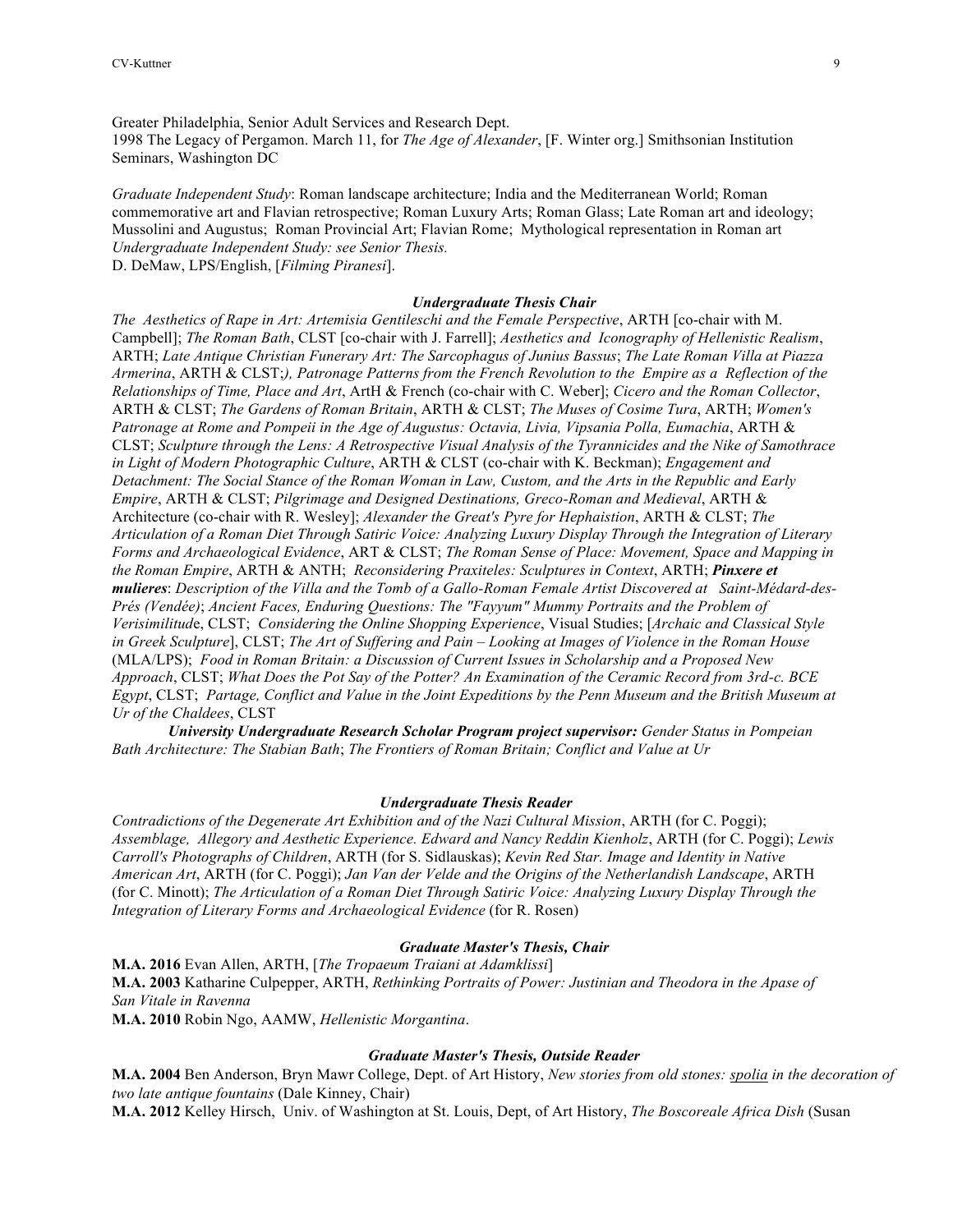Greater Philadelphia, Senior Adult Services and Research Dept. 1998 The Legacy of Pergamon. March 11, for *The Age of Alexander*, [F. Winter org.] Smithsonian Institution Seminars, Washington DC

*Graduate Independent Study*: Roman landscape architecture; India and the Mediterranean World; Roman commemorative art and Flavian retrospective; Roman Luxury Arts; Roman Glass; Late Roman art and ideology; Mussolini and Augustus; Roman Provincial Art; Flavian Rome; Mythological representation in Roman art *Undergraduate Independent Study: see Senior Thesis.*

D. DeMaw, LPS/English, [*Filming Piranesi*].

#### *Undergraduate Thesis Chair*

*The Aesthetics of Rape in Art: Artemisia Gentileschi and the Female Perspective*, ARTH [co-chair with M. Campbell]; *The Roman Bath*, CLST [co-chair with J. Farrell]; *Aesthetics and Iconography of Hellenistic Realism*, ARTH; *Late Antique Christian Funerary Art: The Sarcophagus of Junius Bassus*; *The Late Roman Villa at Piazza Armerina*, ARTH & CLST;*), Patronage Patterns from the French Revolution to the Empire as a Reflection of the Relationships of Time, Place and Art*, ArtH & French (co-chair with C. Weber]; *Cicero and the Roman Collector*, ARTH & CLST; *The Gardens of Roman Britain*, ARTH & CLST; *The Muses of Cosime Tura*, ARTH; *Women's Patronage at Rome and Pompeii in the Age of Augustus: Octavia, Livia, Vipsania Polla, Eumachia*, ARTH & CLST; *Sculpture through the Lens: A Retrospective Visual Analysis of the Tyrannicides and the Nike of Samothrace in Light of Modern Photographic Culture*, ARTH & CLST (co-chair with K. Beckman); *Engagement and Detachment: The Social Stance of the Roman Woman in Law, Custom, and the Arts in the Republic and Early Empire*, ARTH & CLST; *Pilgrimage and Designed Destinations, Greco-Roman and Medieval*, ARTH & Architecture (co-chair with R. Wesley]; *Alexander the Great's Pyre for Hephaistion*, ARTH & CLST; *The Articulation of a Roman Diet Through Satiric Voice: Analyzing Luxury Display Through the Integration of Literary Forms and Archaeological Evidence*, ART & CLST; *The Roman Sense of Place: Movement, Space and Mapping in the Roman Empire*, ARTH & ANTH; *Reconsidering Praxiteles: Sculptures in Context*, ARTH; *Pinxere et mulieres*: *Description of the Villa and the Tomb of a Gallo-Roman Female Artist Discovered at Saint-Médard-des-Prés (Vendée)*; *Ancient Faces, Enduring Questions: The "Fayyum" Mummy Portraits and the Problem of Verisimilitud*e, CLST; *Considering the Online Shopping Experience*, Visual Studies; [*Archaic and Classical Style in Greek Sculpture*], CLST; *The Art of Suffering and Pain – Looking at Images of Violence in the Roman House* (MLA/LPS); *Food in Roman Britain: a Discussion of Current Issues in Scholarship and a Proposed New Approach*, CLST; *What Does the Pot Say of the Potter? An Examination of the Ceramic Record from 3rd-c. BCE Egypt*, CLST; *Partage, Conflict and Value in the Joint Expeditions by the Penn Museum and the British Museum at Ur of the Chaldees*, CLST

*University Undergraduate Research Scholar Program project supervisor: Gender Status in Pompeian Bath Architecture: The Stabian Bath*; *The Frontiers of Roman Britain; Conflict and Value at Ur*

#### *Undergraduate Thesis Reader*

*Contradictions of the Degenerate Art Exhibition and of the Nazi Cultural Mission*, ARTH (for C. Poggi); *Assemblage, Allegory and Aesthetic Experience. Edward and Nancy Reddin Kienholz*, ARTH (for C. Poggi); *Lewis Carroll's Photographs of Children*, ARTH (for S. Sidlauskas); *Kevin Red Star. Image and Identity in Native American Art*, ARTH (for C. Poggi); *Jan Van der Velde and the Origins of the Netherlandish Landscape*, ARTH (for C. Minott); *The Articulation of a Roman Diet Through Satiric Voice: Analyzing Luxury Display Through the Integration of Literary Forms and Archaeological Evidence* (for R. Rosen)

#### *Graduate Master's Thesis, Chair*

**M.A. 2016** Evan Allen, ARTH, [*The Tropaeum Traiani at Adamklissi*] **M.A. 2003** Katharine Culpepper, ARTH, *Rethinking Portraits of Power: Justinian and Theodora in the Apase of San Vitale in Ravenna* **M.A. 2010** Robin Ngo, AAMW, *Hellenistic Morgantina*.

#### *Graduate Master's Thesis, Outside Reader*

**M.A. 2004** Ben Anderson, Bryn Mawr College, Dept. of Art History, *New stories from old stones: spolia in the decoration of two late antique fountains* (Dale Kinney, Chair)

**M.A. 2012** Kelley Hirsch, Univ. of Washington at St. Louis, Dept, of Art History, *The Boscoreale Africa Dish* (Susan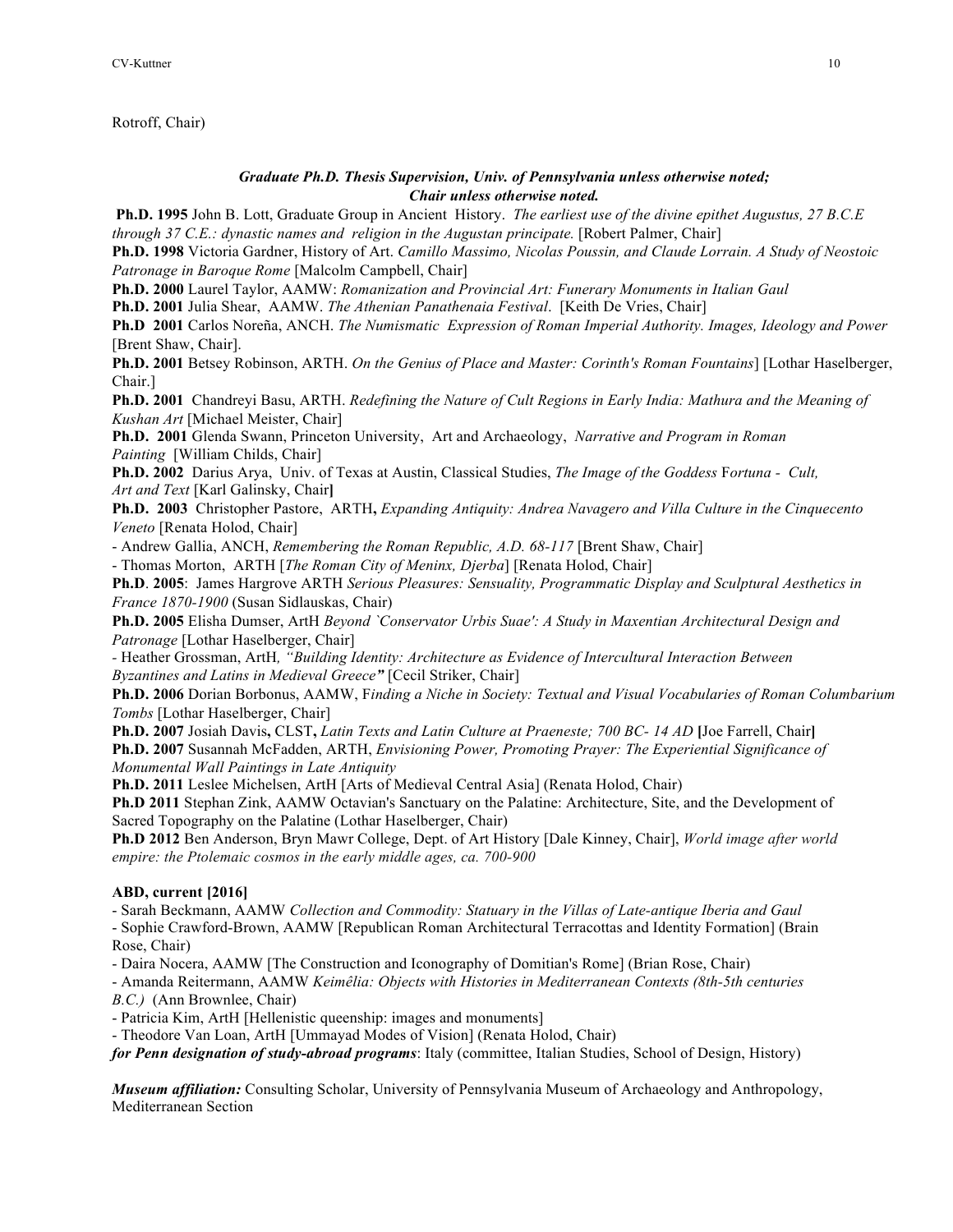Rotroff, Chair)

## *Graduate Ph.D. Thesis Supervision, Univ. of Pennsylvania unless otherwise noted; Chair unless otherwise noted.*

**Ph.D. 1995** John B. Lott, Graduate Group in Ancient History. *The earliest use of the divine epithet Augustus, 27 B.C.E through 37 C.E.: dynastic names and religion in the Augustan principate.* [Robert Palmer, Chair]

**Ph.D. 1998** Victoria Gardner, History of Art. *Camillo Massimo, Nicolas Poussin, and Claude Lorrain. A Study of Neostoic Patronage in Baroque Rome* [Malcolm Campbell, Chair]

**Ph.D. 2000** Laurel Taylor, AAMW: *Romanization and Provincial Art: Funerary Monuments in Italian Gaul*

**Ph.D. 2001** Julia Shear, AAMW. *The Athenian Panathenaia Festival*. [Keith De Vries, Chair]

**Ph.D 2001** Carlos Noreña, ANCH. *The Numismatic Expression of Roman Imperial Authority. Images, Ideology and Power* [Brent Shaw, Chair].

**Ph.D. 2001** Betsey Robinson, ARTH. *On the Genius of Place and Master: Corinth's Roman Fountains*] [Lothar Haselberger, Chair.]

**Ph.D. 2001** Chandreyi Basu, ARTH. *Redefining the Nature of Cult Regions in Early India: Mathura and the Meaning of Kushan Art* [Michael Meister, Chair]

**Ph.D. 2001** Glenda Swann, Princeton University, Art and Archaeology, *Narrative and Program in Roman Painting* [William Childs, Chair]

**Ph.D. 2002** Darius Arya, Univ. of Texas at Austin, Classical Studies, *The Image of the Goddess* F*ortuna - Cult, Art and Text* [Karl Galinsky, Chair**]**

**Ph.D. 2003** Christopher Pastore, ARTH**,** *Expanding Antiquity: Andrea Navagero and Villa Culture in the Cinquecento Veneto* [Renata Holod, Chair]

- Andrew Gallia, ANCH, *Remembering the Roman Republic, A.D. 68-117* [Brent Shaw, Chair]

- Thomas Morton, ARTH [*The Roman City of Meninx, Djerba*] [Renata Holod, Chair]

**Ph.D**. **2005**: James Hargrove ARTH *Serious Pleasures: Sensuality, Programmatic Display and Sculptural Aesthetics in France 1870-1900* (Susan Sidlauskas, Chair)

**Ph.D. 2005** Elisha Dumser, ArtH *Beyond `Conservator Urbis Suae': A Study in Maxentian Architectural Design and Patronage* [Lothar Haselberger, Chair]

*-* Heather Grossman, ArtH*, "Building Identity: Architecture as Evidence of Intercultural Interaction Between Byzantines and Latins in Medieval Greece"* [Cecil Striker, Chair]

**Ph.D. 2006** Dorian Borbonus, AAMW, F*inding a Niche in Society: Textual and Visual Vocabularies of Roman Columbarium Tombs* [Lothar Haselberger, Chair]

**Ph.D. 2007** Josiah Davis**,** CLST**,** *Latin Texts and Latin Culture at Praeneste; 700 BC- 14 AD* **[**Joe Farrell, Chair**] Ph.D. 2007** Susannah McFadden, ARTH, *Envisioning Power, Promoting Prayer: The Experiential Significance of Monumental Wall Paintings in Late Antiquity*

**Ph.D. 2011** Leslee Michelsen, ArtH [Arts of Medieval Central Asia] (Renata Holod, Chair)

**Ph.D 2011** Stephan Zink, AAMW Octavian's Sanctuary on the Palatine: Architecture, Site, and the Development of Sacred Topography on the Palatine (Lothar Haselberger, Chair)

**Ph.D 2012** Ben Anderson, Bryn Mawr College, Dept. of Art History [Dale Kinney, Chair], *World image after world empire: the Ptolemaic cosmos in the early middle ages, ca. 700-900*

# **ABD, current [2016]**

- Sarah Beckmann, AAMW *Collection and Commodity: Statuary in the Villas of Late-antique Iberia and Gaul* - Sophie Crawford-Brown, AAMW [Republican Roman Architectural Terracottas and Identity Formation] (Brain Rose, Chair)

- Daira Nocera, AAMW [The Construction and Iconography of Domitian's Rome] (Brian Rose, Chair)

- Amanda Reitermann, AAMW *Keimêlia: Objects with Histories in Mediterranean Contexts (8th-5th centuries B.C.)* (Ann Brownlee, Chair)

- Patricia Kim, ArtH [Hellenistic queenship: images and monuments]

- Theodore Van Loan, ArtH [Ummayad Modes of Vision] (Renata Holod, Chair)

*for Penn designation of study-abroad programs*: Italy (committee, Italian Studies, School of Design, History)

*Museum affiliation:* Consulting Scholar, University of Pennsylvania Museum of Archaeology and Anthropology, Mediterranean Section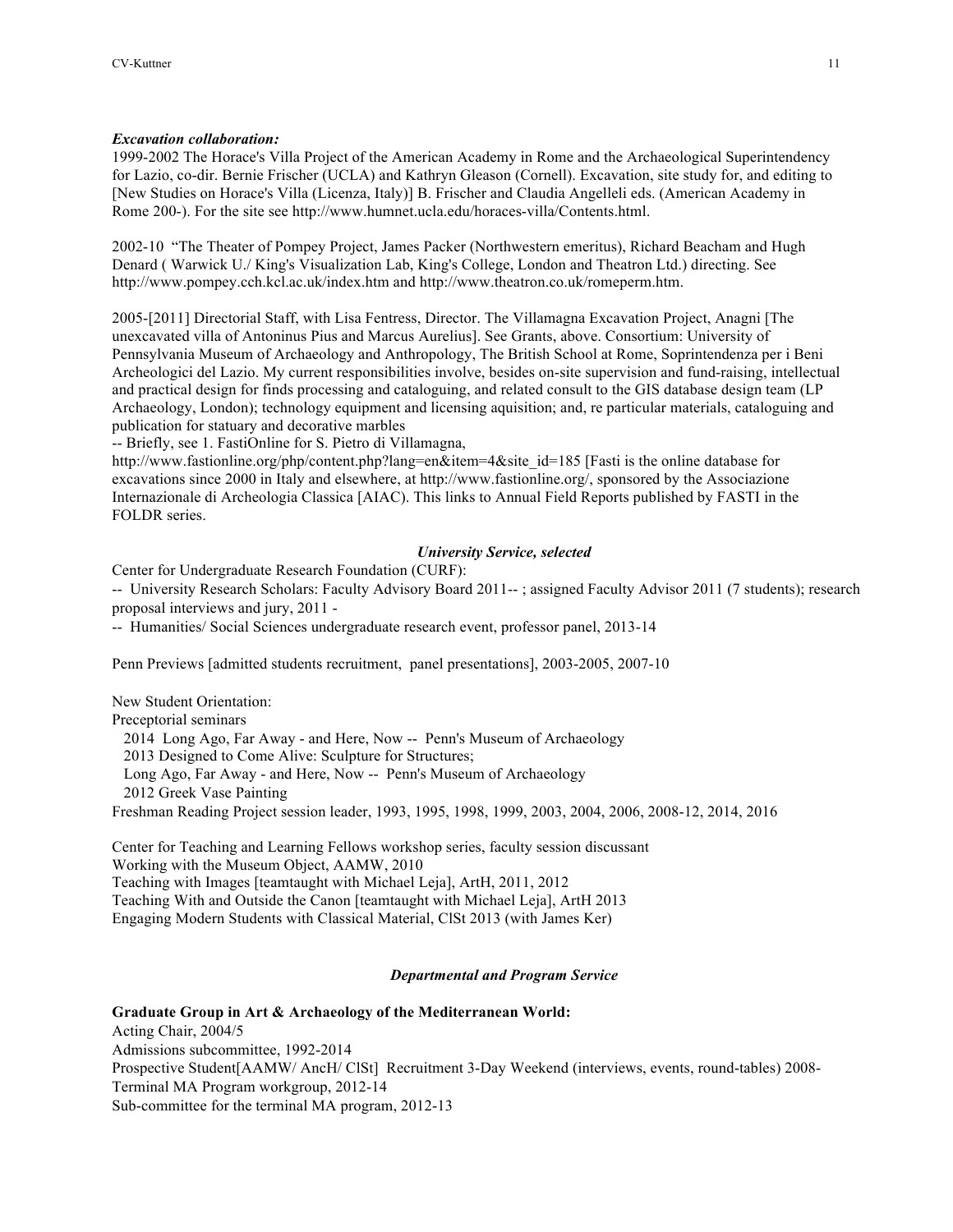## *Excavation collaboration:*

1999-2002 The Horace's Villa Project of the American Academy in Rome and the Archaeological Superintendency for Lazio, co-dir. Bernie Frischer (UCLA) and Kathryn Gleason (Cornell). Excavation, site study for, and editing to [New Studies on Horace's Villa (Licenza, Italy)] B. Frischer and Claudia Angelleli eds. (American Academy in Rome 200-). For the site see http://www.humnet.ucla.edu/horaces-villa/Contents.html.

2002-10 "The Theater of Pompey Project, James Packer (Northwestern emeritus), Richard Beacham and Hugh Denard ( Warwick U./ King's Visualization Lab, King's College, London and Theatron Ltd.) directing. See http://www.pompey.cch.kcl.ac.uk/index.htm and http://www.theatron.co.uk/romeperm.htm.

2005-[2011] Directorial Staff, with Lisa Fentress, Director. The Villamagna Excavation Project, Anagni [The unexcavated villa of Antoninus Pius and Marcus Aurelius]. See Grants, above. Consortium: University of Pennsylvania Museum of Archaeology and Anthropology, The British School at Rome, Soprintendenza per i Beni Archeologici del Lazio. My current responsibilities involve, besides on-site supervision and fund-raising, intellectual and practical design for finds processing and cataloguing, and related consult to the GIS database design team (LP Archaeology, London); technology equipment and licensing aquisition; and, re particular materials, cataloguing and publication for statuary and decorative marbles

-- Briefly, see 1. FastiOnline for S. Pietro di Villamagna,

http://www.fastionline.org/php/content.php?lang=en&item=4&site\_id=185 [Fasti is the online database for excavations since 2000 in Italy and elsewhere, at http://www.fastionline.org/, sponsored by the Associazione Internazionale di Archeologia Classica [AIAC). This links to Annual Field Reports published by FASTI in the FOLDR series.

## *University Service, selected*

Center for Undergraduate Research Foundation (CURF):

-- University Research Scholars: Faculty Advisory Board 2011-- ; assigned Faculty Advisor 2011 (7 students); research proposal interviews and jury, 2011 -

-- Humanities/ Social Sciences undergraduate research event, professor panel, 2013-14

Penn Previews [admitted students recruitment, panel presentations], 2003-2005, 2007-10

New Student Orientation:

Preceptorial seminars

2014 Long Ago, Far Away - and Here, Now -- Penn's Museum of Archaeology

2013 Designed to Come Alive: Sculpture for Structures;

Long Ago, Far Away - and Here, Now -- Penn's Museum of Archaeology

2012 Greek Vase Painting

Freshman Reading Project session leader, 1993, 1995, 1998, 1999, 2003, 2004, 2006, 2008-12, 2014, 2016

Center for Teaching and Learning Fellows workshop series, faculty session discussant Working with the Museum Object, AAMW, 2010 Teaching with Images [teamtaught with Michael Leja], ArtH, 2011, 2012 Teaching With and Outside the Canon [teamtaught with Michael Leja], ArtH 2013 Engaging Modern Students with Classical Material, ClSt 2013 (with James Ker)

## *Departmental and Program Service*

## **Graduate Group in Art & Archaeology of the Mediterranean World:**

Acting Chair, 2004/5 Admissions subcommittee, 1992-2014 Prospective Student[AAMW/ AncH/ ClSt] Recruitment 3-Day Weekend (interviews, events, round-tables) 2008- Terminal MA Program workgroup, 2012-14 Sub-committee for the terminal MA program, 2012-13